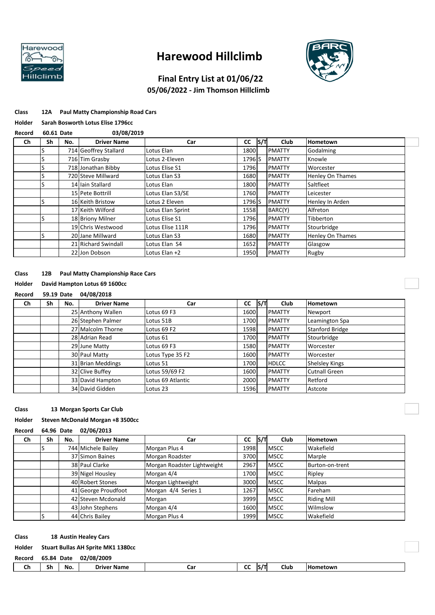

# **Harewood Hillclimb**



# **Final Entry List at 01/06/22**

# **05/06/2022 - Jim Thomson Hillclimb**

|  | <b>Class</b> | 12A | <b>Paul Matty Championship Road Cars</b> |  |
|--|--------------|-----|------------------------------------------|--|
|--|--------------|-----|------------------------------------------|--|

#### **Holder Sarah Bosworth Lotus Elise 1796cc**

| Record | 60.61 Date |  |
|--------|------------|--|
|        |            |  |

| Record | 60.61 Date |     | 03/08/2019            |                   |                    |     |               |                         |
|--------|------------|-----|-----------------------|-------------------|--------------------|-----|---------------|-------------------------|
| Ch     | Sh         | No. | <b>Driver Name</b>    | Car               | CC                 | S/T | <b>Club</b>   | <b>Hometown</b>         |
|        |            |     | 714 Geoffrey Stallard | Lotus Elan        | 1800               |     | <b>PMATTY</b> | Godalming               |
|        |            |     | 716 Tim Grasby        | Lotus 2-Eleven    | 1796 <sub>IS</sub> |     | <b>PMATTY</b> | Knowle                  |
|        |            |     | 718 Jonathan Bibby    | Lotus Elise S1    | 1796               |     | <b>PMATTY</b> | Worcester               |
|        |            |     | 720 Steve Millward    | Lotus Elan S3     | 1680               |     | <b>PMATTY</b> | Henley On Thames        |
|        |            |     | 14 Iain Stallard      | Lotus Elan        | 1800               |     | <b>PMATTY</b> | Saltfleet               |
|        |            |     | 15 Pete Bottrill      | Lotus Elan S3/SE  | 1760               |     | <b>PMATTY</b> | Leicester               |
|        |            |     | 16 Keith Bristow      | Lotus 2 Eleven    | 1796 S             |     | <b>PMATTY</b> | Henley In Arden         |
|        |            |     | 17 Keith Wilford      | Lotus Elan Sprint | 1558               |     | BARC(Y)       | Alfreton                |
|        |            |     | 18 Briony Milner      | Lotus Elise S1    | 1796               |     | <b>PMATTY</b> | Tibberton               |
|        |            |     | 19 Chris Westwood     | Lotus Elise 111R  | 1796               |     | <b>PMATTY</b> | Stourbridge             |
|        |            |     | 20 Jane Millward      | Lotus Elan S3     | 1680               |     | <b>PMATTY</b> | <b>Henley On Thames</b> |
|        |            |     | 21 Richard Swindall   | Lotus Elan S4     | 1652               |     | <b>PMATTY</b> | Glasgow                 |
|        |            |     | 22 Jon Dobson         | Lotus Elan +2     | 1950               |     | <b>PMATTY</b> | Rugby                   |

## **Class 12B Paul Matty Championship Race Cars**

## **Holder David Hampton Lotus 69 1600cc**

### **Record 59.19 Date 04/08/2018**

| Ch | Sh | No. | <b>Driver Name</b> | Car               | <b>CC</b> | IS/T | Club          | <b>Hometown</b>        |
|----|----|-----|--------------------|-------------------|-----------|------|---------------|------------------------|
|    |    |     | 25 Anthony Wallen  | Lotus 69 F3       | 1600      |      | <b>PMATTY</b> | Newport                |
|    |    |     | 26 Stephen Palmer  | Lotus 51B         | 1700      |      | <b>PMATTY</b> | Leamington Spa         |
|    |    |     | 27 Malcolm Thorne  | Lotus 69 F2       | 1598      |      | <b>PMATTY</b> | <b>Stanford Bridge</b> |
|    |    |     | 28 Adrian Read     | Lotus 61          | 1700      |      | <b>PMATTY</b> | Stourbridge            |
|    |    |     | 29 June Matty      | Lotus 69 F3       | 1580      |      | <b>PMATTY</b> | Worcester              |
|    |    |     | 30 Paul Matty      | Lotus Type 35 F2  | 1600      |      | <b>PMATTY</b> | Worcester              |
|    |    |     | 31 Brian Meddings  | Lotus 51          | 1700      |      | <b>HDLCC</b>  | <b>Shelsley Kings</b>  |
|    |    |     | 32 Clive Buffey    | Lotus 59/69 F2    | 1600      |      | <b>PMATTY</b> | <b>Cutnall Green</b>   |
|    |    |     | 33 David Hampton   | Lotus 69 Atlantic | 2000      |      | <b>PMATTY</b> | Retford                |
|    |    |     | 34 David Gidden    | Lotus 23          | 1596      |      | <b>PMATTY</b> | Astcote                |

### **Class 13 Morgan Sports Car Club**

## **Holder Steven McDonald Morgan +8 3500cc**

### **Record 64.96 Date 02/06/2013**

| Ch | Sh | No. | <b>Driver Name</b>  | Car                         | <b>CC</b> | S/T | <b>Club</b> | <b>Hometown</b>    |
|----|----|-----|---------------------|-----------------------------|-----------|-----|-------------|--------------------|
|    |    |     | 744 Michele Bailey  | Morgan Plus 4               | 1998      |     | <b>MSCC</b> | Wakefield          |
|    |    |     | 37 Simon Baines     | Morgan Roadster             | 3700      |     | <b>MSCC</b> | Marple             |
|    |    |     | 38 Paul Clarke      | Morgan Roadster Lightweight | 2967      |     | <b>MSCC</b> | Burton-on-trent    |
|    |    |     | 39 Nigel Housley    | Morgan 4/4                  | 1700      |     | <b>MSCC</b> | Ripley             |
|    |    |     | 40 Robert Stones    | Morgan Lightweight          | 3000      |     | <b>MSCC</b> | <b>Malpas</b>      |
|    |    |     | 41 George Proudfoot | Morgan 4/4 Series 1         | 1267      |     | <b>MSCC</b> | Fareham            |
|    |    |     | 42 Steven Mcdonald  | Morgan                      | 3999      |     | <b>MSCC</b> | <b>Riding Mill</b> |
|    |    |     | 43 John Stephens    | Morgan 4/4                  | 1600      |     | <b>MSCC</b> | Wilmslow           |
|    |    |     | 44 Chris Bailey     | Morgan Plus 4               | 1999      |     | <b>MSCC</b> | Wakefield          |

#### **Class 18 Austin Healey Cars**

### **Holder Stuart Bullas AH Sprite MK1 1380cc**

| Record | 65.84 Date |     | 02/08/2009         |          |             |      |            |  |
|--------|------------|-----|--------------------|----------|-------------|------|------------|--|
| Ch     | Sh         | No. | <b>Driver Name</b> | .<br>caı | $\sim$<br>ີ | Club | l Hometown |  |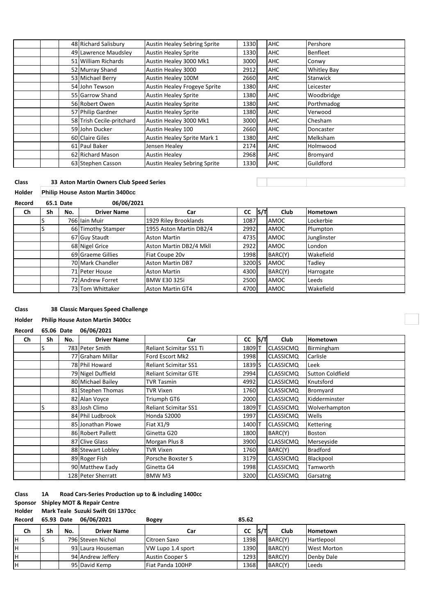| 48 Richard Salisbury      | <b>Austin Healey Sebring Sprite</b> | 1330 | AHC        | Pershore           |
|---------------------------|-------------------------------------|------|------------|--------------------|
| 49 Lawrence Maudsley      | <b>Austin Healey Sprite</b>         | 1330 | <b>AHC</b> | <b>Benfleet</b>    |
| 51 William Richards       | Austin Healey 3000 Mk1              | 3000 | <b>AHC</b> | Conwy              |
| 52 Murray Shand           | Austin Healey 3000                  | 2912 | <b>AHC</b> | <b>Whitley Bay</b> |
| 53 Michael Berry          | Austin Healey 100M                  | 2660 | <b>AHC</b> | Stanwick           |
| 54 John Tewson            | <b>Austin Healey Frogeye Sprite</b> | 1380 | <b>AHC</b> | Leicester          |
| 55 Garrow Shand           | <b>Austin Healey Sprite</b>         | 1380 | <b>AHC</b> | Woodbridge         |
| 56 Robert Owen            | <b>Austin Healey Sprite</b>         | 1380 | <b>AHC</b> | Porthmadog         |
| 57 Philip Gardner         | <b>Austin Healey Sprite</b>         | 1380 | <b>AHC</b> | Verwood            |
| 58 Trish Cecile-pritchard | Austin Healey 3000 Mk1              | 3000 | <b>AHC</b> | Chesham            |
| 59 John Ducker            | Austin Healey 100                   | 2660 | <b>AHC</b> | Doncaster          |
| 60 Claire Giles           | Austin Healey Sprite Mark 1         | 1380 | <b>AHC</b> | Melksham           |
| 61 Paul Baker             | Jensen Healey                       | 2174 | <b>AHC</b> | Holmwood           |
| 62 Richard Mason          | <b>Austin Healey</b>                | 2968 | <b>AHC</b> | Bromyard           |
| 63 Stephen Casson         | <b>Austin Healey Sebring Sprite</b> | 1330 | <b>AHC</b> | Guildford          |

## **Class 33 Aston Martin Owners Club Speed Series**

### **Holder Philip House Aston Martin 3400cc**

| Record |    | 65.1 Date | 06/06/2021         |                         |           |     |         |                 |
|--------|----|-----------|--------------------|-------------------------|-----------|-----|---------|-----------------|
| Ch     | Sh | No.       | <b>Driver Name</b> | Car                     | <b>CC</b> | S/T | Club    | <b>Hometown</b> |
|        |    |           | 766 Iain Muir      | 1929 Riley Brooklands   | 1087      |     | AMOC    | Lockerbie       |
|        |    |           | 66 Timothy Stamper | 1955 Aston Martin DB2/4 | 2992      |     | AMOC    | Plumpton        |
|        |    |           | 67 Guy Staudt      | <b>Aston Martin</b>     | 4735      |     | AMOC    | Junglinster     |
|        |    |           | 68 Nigel Grice     | Aston Martin DB2/4 Mkll | 2922      |     | AMOC    | London          |
|        |    |           | 69 Graeme Gillies  | Fiat Coupe 20v          | 1998      |     | BARC(Y) | Wakefield       |
|        |    |           | 70 Mark Chandler   | <b>Aston Martin DB7</b> | 3200 S    |     | AMOC    | Tadley          |
|        |    |           | 71 Peter House     | <b>Aston Martin</b>     | 4300      |     | BARC(Y) | Harrogate       |
|        |    |           | 72 Andrew Forret   | <b>BMW E30 325i</b>     | 2500      |     | AMOC    | Leeds           |
|        |    |           | 73 Tom Whittaker   | <b>Aston Martin GT4</b> | 4700      |     | AMOC    | Wakefield       |

### **Class 38 Classic Marques Speed Challenge**

## **Holder Philip House Aston Martin 3400cc**

**Record 65.06 Date 06/06/2021**

| Ch | Sh | No. | <b>Driver Name</b> | Car                            | <b>CC</b> | S/T | Club             | <b>Hometown</b>         |
|----|----|-----|--------------------|--------------------------------|-----------|-----|------------------|-------------------------|
|    |    |     | 783 Peter Smith    | <b>Reliant Scimitar SS1 Ti</b> | 1809 T    |     | <b>CLASSICMQ</b> | Birmingham              |
|    |    |     | 77 Graham Millar   | Ford Escort Mk2                | 1998      |     | <b>CLASSICMQ</b> | Carlisle                |
|    |    |     | 78 Phil Howard     | <b>Reliant Scimitar SS1</b>    | 1839 S    |     | <b>CLASSICMQ</b> | Leek                    |
|    |    |     | 79 Nigel Duffield  | <b>Reliant Scimitar GTE</b>    | 2994      |     | <b>CLASSICMQ</b> | <b>Sutton Coldfield</b> |
|    |    |     | 80 Michael Bailey  | TVR Tasmin                     | 4992      |     | <b>CLASSICMQ</b> | Knutsford               |
|    |    |     | 81 Stephen Thomas  | TVR Vixen                      | 1760      |     | <b>CLASSICMQ</b> | Bromyard                |
|    |    |     | 82 Alan Voyce      | Triumph GT6                    | 2000      |     | <b>CLASSICMQ</b> | Kidderminster           |
|    | S  |     | 83 Josh Climo      | <b>Reliant Scimitar SS1</b>    | 1809 T    |     | <b>CLASSICMQ</b> | Wolverhampton           |
|    |    |     | 84 Phil Ludbrook   | Honda S2000                    | 1997      |     | <b>CLASSICMQ</b> | Wells                   |
|    |    |     | 85 Jonathan Plowe  | Fiat $X1/9$                    | 1400 T    |     | <b>CLASSICMQ</b> | Kettering               |
|    |    |     | 86 Robert Pallett  | Ginetta G20                    | 1800      |     | BARC(Y)          | <b>Boston</b>           |
|    |    |     | 87 Clive Glass     | Morgan Plus 8                  | 3900      |     | <b>CLASSICMQ</b> | Merseyside              |
|    |    |     | 88 Stewart Lobley  | <b>TVR Vixen</b>               | 1760      |     | BARC(Y)          | <b>Bradford</b>         |
|    |    |     | 89 Roger Fish      | Porsche Boxster S              | 3179      |     | <b>CLASSICMQ</b> | Blackpool               |
|    |    |     | 90 Matthew Eady    | Ginetta G4                     | 1998      |     | <b>CLASSICMQ</b> | Tamworth                |
|    |    |     | 128 Peter Sherratt | BMW M3                         | 3200      |     | <b>CLASSICMQ</b> | Garsatng                |

### **Class 1A Road Cars-Series Production up to & including 1400cc**

### **Sponsor Shipley MOT & Repair Centre**

**Holder Mark Teale Suzuki Swift Gti 1370cc**

| Record | 65.93 Date |     | 06/06/2021         | <b>Bogey</b>            | 85.62     |      |         |                    |
|--------|------------|-----|--------------------|-------------------------|-----------|------|---------|--------------------|
| Ch     | Sh         | No. | <b>Driver Name</b> | Car                     | <b>CC</b> | IS/T | Club    | <b>Hometown</b>    |
| н      |            |     | 796 Steven Nichol  | Citroen Saxo            | 1398      |      | BARC(Y) | Hartlepool         |
| н      |            |     | 93 Laura Houseman  | VW Lupo 1.4 sport       | 1390      |      | BARC(Y) | <b>West Morton</b> |
| н      |            |     | 94 Andrew Jeffery  | Austin Cooper S         | 1293      |      | BARC(Y) | Denby Dale         |
| н      |            |     | 95 David Kemp      | <b>Fiat Panda 100HP</b> | 1368      |      | BARC(Y) | Leeds              |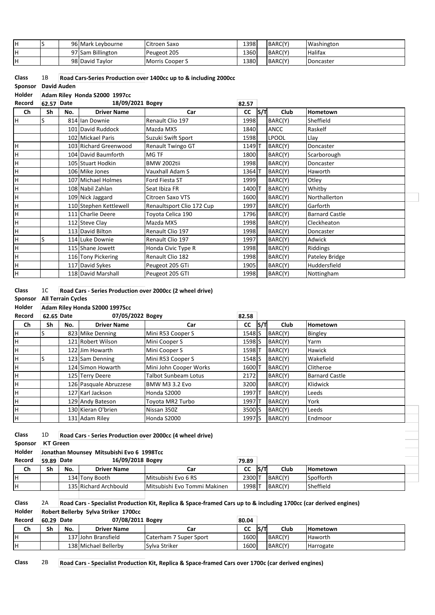|  | 96 Mark Leybourne | Citroen Saxo    | 1398 | BARC(Y) | Washington     |
|--|-------------------|-----------------|------|---------|----------------|
|  | 97 Sam Billington | Peugeot 205     | 1360 | BARC(Y) | <b>Halifax</b> |
|  | 98 David Taylor   | Morris Cooper S | 1380 | BARC(Y) | Doncaster      |

| <b>Class</b>        | 1Β | Road Cars-Series Production over 1400cc up to & including 2000cc |
|---------------------|----|------------------------------------------------------------------|
| Sponsor David Auden |    |                                                                  |

**Holder Adam Riley Honda S2000 1997cc**

| Record | 62.57 | Date | 18/09/2021 Bogey       |                           | 82.57     |     |              |                       |
|--------|-------|------|------------------------|---------------------------|-----------|-----|--------------|-----------------------|
| Ch     | Sh    | No.  | <b>Driver Name</b>     | Car                       | <b>CC</b> | S/T | Club         | Hometown              |
| lн     |       |      | 814 Ian Downie         | Renault Clio 197          | 1998      |     | BARC(Y)      | Sheffield             |
|        |       |      | 101 David Ruddock      | Mazda MX5                 | 1840      |     | ANCC         | Raskelf               |
|        |       |      | 102 Mickael Paris      | Suzuki Swift Sport        | 1598      |     | <b>LPOOL</b> | Llay                  |
| H      |       |      | 103 Richard Greenwood  | Renault Twingo GT         | 1149 1    |     | BARC(Y)      | Doncaster             |
| H      |       |      | 104 David Baumforth    | MG TF                     | 1800      |     | BARC(Y)      | Scarborough           |
| H      |       |      | 105 Stuart Hodkin      | <b>BMW 2002tii</b>        | 1998      |     | BARC(Y)      | Doncaster             |
| H      |       |      | 106 Mike Jones         | Vauxhall Adam S           | 13641     |     | BARC(Y)      | Haworth               |
| H      |       |      | 107 Michael Holmes     | Ford Fiesta ST            | 1999      |     | BARC(Y)      | Otley                 |
| H      |       |      | 108 Nabil Zahlan       | Seat Ibiza FR             | 14001     |     | BARC(Y)      | Whitby                |
| H      |       |      | 109 Nick Jaggard       | Citroen Saxo VTS          | 1600      |     | BARC(Y)      | Northallerton         |
| H      |       |      | 110 Stephen Kettlewell | Renaultsport Clio 172 Cup | 1997      |     | BARC(Y)      | Garforth              |
| H      |       |      | 111 Charlie Deere      | Toyota Celica 190         | 1796      |     | BARC(Y)      | <b>Barnard Castle</b> |
| н      |       |      | 112 Steve Clay         | Mazda MX5                 | 1998      |     | BARC(Y)      | Cleckheaton           |
| H      |       |      | 113 David Bilton       | Renault Clio 197          | 1998      |     | BARC(Y)      | Doncaster             |
| H      | S     |      | 114 Luke Downie        | Renault Clio 197          | 1997      |     | BARC(Y)      | Adwick                |
| H      |       |      | 115 Shane Jowett       | Honda Civic Type R        | 1998      |     | BARC(Y)      | Riddings              |
| H      |       |      | 116 Tony Pickering     | Renault Clio 182          | 1998      |     | BARC(Y)      | Pateley Bridge        |
| H      |       |      | 117 David Sykes        | Peugeot 205 GTi           | 1905      |     | BARC(Y)      | Huddersfield          |
| H      |       |      | 118 David Marshall     | Peugeot 205 GTI           | 1998      |     | BARC(Y)      | Nottingham            |

| Class | Road Cars - Series Production over 2000cc (2 wheel drive) |
|-------|-----------------------------------------------------------|
|-------|-----------------------------------------------------------|

| Sponsor All Terrain Cycles |  |  |
|----------------------------|--|--|
|                            |  |  |

# **Holder Adam Riley Honda S2000 1997Scc**

| Record | 62.65 Date |     | 07/05/2022 Bogey       |                        | 82.58     |     |             |                       |  |
|--------|------------|-----|------------------------|------------------------|-----------|-----|-------------|-----------------------|--|
| Ch     | Sh         | No. | <b>Driver Name</b>     | Car                    | <b>CC</b> | S/T | <b>Club</b> | <b>Hometown</b>       |  |
| H.     |            |     | 823 Mike Denning       | Mini R53 Cooper S      | 1548 S    |     | BARC(Y)     | Bingley               |  |
| н      |            |     | 121 Robert Wilson      | Mini Cooper S          | 1598 S    |     | BARC(Y)     | Yarm                  |  |
| H      |            |     | 122 Jim Howarth        | Mini Cooper S          | 1598 IT   |     | BARC(Y)     | <b>Hawick</b>         |  |
| H      |            |     | 123 Sam Denning        | Mini R53 Cooper S      | 1548 S    |     | BARC(Y)     | Wakefield             |  |
| H      |            |     | 124 Simon Howarth      | Mini John Cooper Works | 1600 T    |     | BARC(Y)     | Clitheroe             |  |
| H      |            |     | 125 Terry Deere        | Talbot Sunbeam Lotus   | 2172      |     | BARC(Y)     | <b>Barnard Castle</b> |  |
| н      |            |     | 126 Pasquale Abruzzese | BMW M3 3.2 Evo         | 3200      |     | BARC(Y)     | Klidwick              |  |
| H      |            |     | 127 Karl Jackson       | Honda S2000            | 1997 I T  |     | BARC(Y)     | Leeds                 |  |
| н      |            |     | 129 Andy Bateson       | Toyota MR2 Turbo       | 1997 I T  |     | BARC(Y)     | York                  |  |
| H      |            |     | 130 Kieran O'brien     | Nissan 350Z            | 3500 S    |     | BARC(Y)     | Leeds                 |  |
| H      |            |     | 131 Adam Riley         | Honda S2000            | 1997 S    |     | BARC(Y)     | Endmoor               |  |

| <b>Class</b> | 1D              |                                           |                       | Road Cars - Series Production over 2000cc (4 wheel drive) |           |      |         |                 |  |  |  |
|--------------|-----------------|-------------------------------------------|-----------------------|-----------------------------------------------------------|-----------|------|---------|-----------------|--|--|--|
| Sponsor      | <b>KT Green</b> |                                           |                       |                                                           |           |      |         |                 |  |  |  |
| Holder       |                 | Jonathan Mounsey Mitsubishi Evo 6 1998Tcc |                       |                                                           |           |      |         |                 |  |  |  |
| Record       | 59.89 Date      |                                           | 16/09/2018 Bogey      |                                                           | 79.89     |      |         |                 |  |  |  |
| Ch           | Sh              | No.                                       | <b>Driver Name</b>    | Car                                                       | <b>CC</b> | IS/T | Club    | <b>Hometown</b> |  |  |  |
| lн           |                 |                                           | 134 Tony Booth        | Mitsubishi Evo 6 RS                                       | 2300 T    |      | BARC(Y) | Spofforth       |  |  |  |
| ΙH           |                 |                                           | 135 Richard Archbould | Mitsubishi Evo Tommi Makinen                              | 1998 T    |      | BARC(Y) | Sheffield       |  |  |  |
|              |                 |                                           |                       |                                                           |           |      |         |                 |  |  |  |

## **Class** 2A **Road Cars - Specialist Production Kit, Replica & Space-framed Cars up to & including 1700cc (car derived engines) Holder Robert Bellerby Sylva Striker 1700cc**

| Record | 60.29 | Date | 07/08/2011 Bogey     |                        | 80.04 |            |         |                 |
|--------|-------|------|----------------------|------------------------|-------|------------|---------|-----------------|
| Ch     | Sh    | No.  | <b>Driver Name</b>   | Car                    | CC    | <b>S/T</b> | Club    | <b>Hometown</b> |
|        |       |      | 137 John Bransfield  | Caterham 7 Super Sport | 1600  |            | BARC(Y) | Haworth         |
|        |       |      | 138 Michael Bellerby | Sylva Striker          | 1600  |            | BARC(Y) | Harrogate       |

# **Class** 2B **Road Cars - Specialist Production Kit, Replica & Space-framed Cars over 1700c (car derived engines)**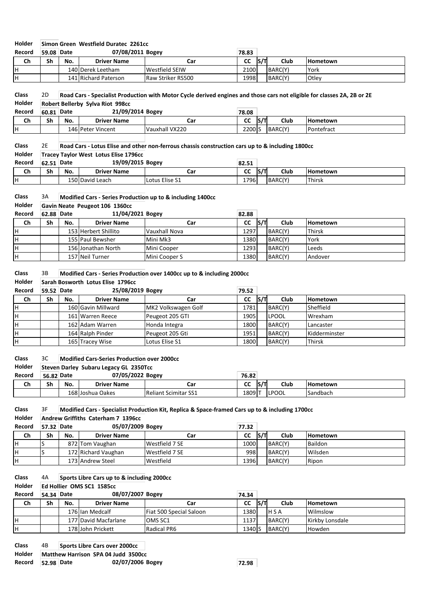### **Holder Simon Green Westfield Duratec 2261cc**

| Record | 59.08 | ∣Date | 07/08/2011 Bogey     |                   | 78.83     |     |         |                 |
|--------|-------|-------|----------------------|-------------------|-----------|-----|---------|-----------------|
| Ch     | Sh    | No.   | <b>Driver Name</b>   | Car               | <b>CC</b> | S/T | Club    | <b>Hometown</b> |
|        |       |       | 140 Derek Leetham    | Westfield SEIW    | 2100      |     | BARC(Y) | York            |
|        |       |       | 141 Richard Paterson | Raw Striker RS500 | 1998      |     | BARC(Y) | Otley           |

## **Class** 2D **Road Cars - Specialist Production with Motor Cycle derived engines and those cars not eligible for classes 2A, 2B or 2E Holder Robert Bellerby Sylva Riot 998cc Record 60.81 Date 21/09/2014 Bogey 78.08 Ch Sh No. Driver Name Car CC S/T Club Hometown** 146 Peter Vincent Vauxhall VX220 2200 S BARC(Y) Pontefract

### **Class** 2E **Road Cars - Lotus Elise and other non-ferrous chassis construction cars up to & including 1800cc**

| Holder |       | Tracev Tavlor West Lotus Elise 1796cc |                    |                |       |      |         |                 |  |  |
|--------|-------|---------------------------------------|--------------------|----------------|-------|------|---------|-----------------|--|--|
| Record | 62.51 | Date                                  | 19/09/2015 Bogey   |                | 82.51 |      |         |                 |  |  |
| Ch     | Sh    | No.                                   | <b>Driver Name</b> | Car            | CC    | ls/T | Club    | <b>Hometown</b> |  |  |
|        |       |                                       | 150 David Leach    | Lotus Elise S1 | 1796  |      | BARC(Y) | Thirsk          |  |  |

| <b>Class</b> | 3A         |                                |                      | Modified Cars - Series Production up to & including 1400cc |           |      |         |                 |  |  |  |  |
|--------------|------------|--------------------------------|----------------------|------------------------------------------------------------|-----------|------|---------|-----------------|--|--|--|--|
| Holder       |            | Gavin Neate Peugeot 106 1360cc |                      |                                                            |           |      |         |                 |  |  |  |  |
| Record       | 62.88 Date |                                | 11/04/2021 Bogey     |                                                            | 82.88     |      |         |                 |  |  |  |  |
| Ch           | Sh         | No.                            | <b>Driver Name</b>   | Car                                                        | <b>CC</b> | IS/T | Club    | <b>Hometown</b> |  |  |  |  |
| H            |            |                                | 153 Herbert Shillito | Vauxhall Nova                                              | 1297      |      | BARC(Y) | <b>Thirsk</b>   |  |  |  |  |
| IH.          |            |                                | 155 Paul Bewsher     | Mini Mk3                                                   | 1380      |      | BARC(Y) | York            |  |  |  |  |
| H            |            |                                | 156 Jonathan North   | Mini Cooper                                                | 1293      |      | BARC(Y) | Leeds           |  |  |  |  |
| ΙH.          |            |                                | 157 Neil Turner      | Mini Cooper S                                              | 1380      |      | BARC(Y) | Andover         |  |  |  |  |

### **Class** 3B **Modified Cars - Series Production over 1400cc up to & including 2000cc Holder Sarah Bosworth Lotus Elise 1796cc**

| Record | 59.52 | Date | 25/08/2019 Bogey   |                     | 79.52     |     |              |                 |
|--------|-------|------|--------------------|---------------------|-----------|-----|--------------|-----------------|
| Ch     | Sh    | No.  | <b>Driver Name</b> | Car                 | <b>CC</b> | S/T | Club         | <b>Hometown</b> |
| н      |       |      | 160 Gavin Millward | MK2 Volkswagen Golf | 1781      |     | BARC(Y)      | Sheffield       |
| н      |       |      | 161 Warren Reece   | Peugeot 205 GTI     | 1905      |     | <b>LPOOL</b> | Wrexham         |
| н      |       |      | 162 Adam Warren    | Honda Integra       | 1800      |     | BARC(Y)      | Lancaster       |
| н      |       |      | 164 Ralph Pinder   | Peugeot 205 Gti     | 1951      |     | BARC(Y)      | Kidderminster   |
| н      |       |      | 165 Tracey Wise    | Lotus Elise S1      | 1800      |     | BARC(Y)      | <b>Thirsk</b>   |

#### **Class** 3C **Modified Cars-Series Production over 2000cc**

## **Holder Steven Darley Subaru Legacy GL 2350Tcc**

| Record | 56.82 Date |     | 07/05/2022 Bogey   |                             | 76.82                         |       |                 |
|--------|------------|-----|--------------------|-----------------------------|-------------------------------|-------|-----------------|
| Ch     | Sh         | No. | <b>Driver Name</b> | Car                         | $\overline{\phantom{a}}$<br>ີ | Club  | <b>Hometown</b> |
|        |            |     | 168 Joshua Oakes   | <b>Reliant Scimitar SS1</b> | 18091                         | LPOOL | Sandbach        |

| <b>Class</b> | -3F | Modified Cars - Specialist Production Kit, Replica & Space-framed Cars up to & including 1700cc |
|--------------|-----|-------------------------------------------------------------------------------------------------|
| Holder       |     | Andrew Griffiths Caterham 7 1396cc                                                              |

## **Record 57.32 Date 05/07/2009 Bogey 77.32 Ch Sh No. Driver Name Car CC S/T Club Hometown** H S 872 Tom Vaughan Westfield 7 SE 1000 BARC(Y) Baildon H S 172 Richard Vaughan Westfield 7 SE S 998 BARC(Y) Wilsden H 173 Andrew Steel Westfield 1396 BARC(Y) Ripon

### **Class** 4A **Sports Libre Cars up to & including 2000cc**

**Holder Ed Hollier OMS SC1 1585cc**

| Record | 54.34 Date |     | 08/07/2007 Bogey<br>74.34 |                         |           |     |            |                 |
|--------|------------|-----|---------------------------|-------------------------|-----------|-----|------------|-----------------|
| Ch     | Sh         | No. | <b>Driver Name</b>        | Car                     | <b>CC</b> | S/T | Club       | <b>Hometown</b> |
|        |            |     | 176 Ian Medcalf           | Fiat 500 Special Saloon | 1380      |     | <b>HSA</b> | Wilmslow        |
| H      |            |     | 177 David Macfarlane      | <b>OMS SC1</b>          | 1137      |     | BARC(Y)    | Kirkby Lonsdale |
| H      |            |     | 178 John Prickett         | <b>Radical PR6</b>      | 1340 S    |     | BARC(Y)    | <b>Howden</b>   |

**Class** 4B **Sports Libre Cars over 2000cc**

**Holder Matthew Harrison SPA 04 Judd 3500cc**

### **Record 52.98 Date 02/07/2006 Bogey 72.98**